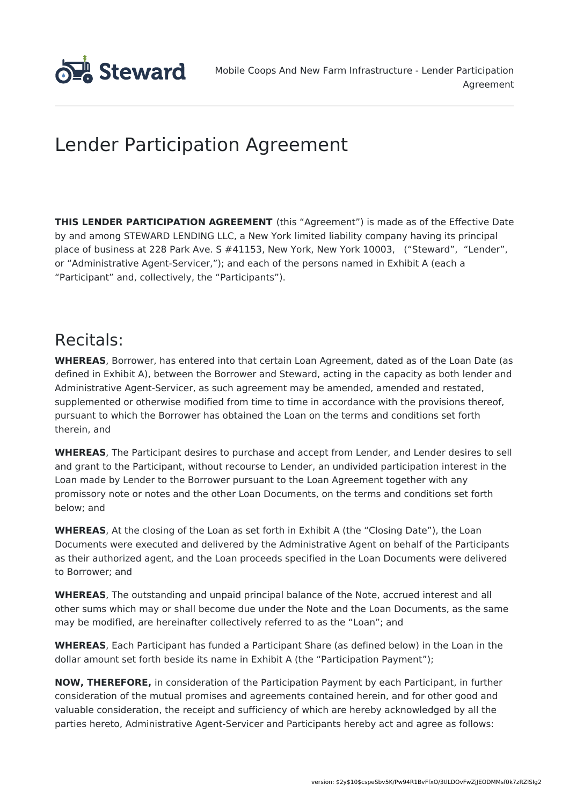

# Lender Participation Agreement

**THIS LENDER PARTICIPATION AGREEMENT** (this "Agreement") is made as of the Effective Date by and among STEWARD LENDING LLC, a New York limited liability company having its principal place of business at 228 Park Ave. S #41153, New York, New York 10003, ("Steward", "Lender", or "Administrative Agent-Servicer,"); and each of the persons named in Exhibit A (each a "Participant" and, collectively, the "Participants").

## Recitals:

**WHEREAS**, Borrower, has entered into that certain Loan Agreement, dated as of the Loan Date (as defined in Exhibit A), between the Borrower and Steward, acting in the capacity as both lender and Administrative Agent-Servicer, as such agreement may be amended, amended and restated, supplemented or otherwise modified from time to time in accordance with the provisions thereof, pursuant to which the Borrower has obtained the Loan on the terms and conditions set forth therein, and

**WHEREAS**, The Participant desires to purchase and accept from Lender, and Lender desires to sell and grant to the Participant, without recourse to Lender, an undivided participation interest in the Loan made by Lender to the Borrower pursuant to the Loan Agreement together with any promissory note or notes and the other Loan Documents, on the terms and conditions set forth below; and

**WHEREAS**, At the closing of the Loan as set forth in Exhibit A (the "Closing Date"), the Loan Documents were executed and delivered by the Administrative Agent on behalf of the Participants as their authorized agent, and the Loan proceeds specified in the Loan Documents were delivered to Borrower; and

**WHEREAS**, The outstanding and unpaid principal balance of the Note, accrued interest and all other sums which may or shall become due under the Note and the Loan Documents, as the same may be modified, are hereinafter collectively referred to as the "Loan"; and

**WHEREAS**, Each Participant has funded a Participant Share (as defined below) in the Loan in the dollar amount set forth beside its name in Exhibit A (the "Participation Payment");

**NOW, THEREFORE,** in consideration of the Participation Payment by each Participant, in further consideration of the mutual promises and agreements contained herein, and for other good and valuable consideration, the receipt and sufficiency of which are hereby acknowledged by all the parties hereto, Administrative Agent-Servicer and Participants hereby act and agree as follows: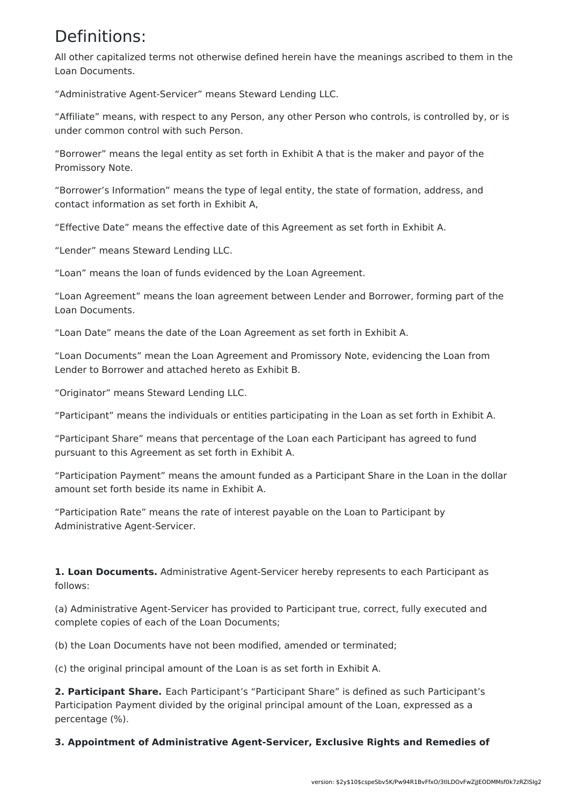## Definitions:

All other capitalized terms not otherwise defined herein have the meanings ascribed to them in the Loan Documents.

"Administrative Agent-Servicer" means Steward Lending LLC.

"Affiliate" means, with respect to any Person, any other Person who controls, is controlled by, or is under common control with such Person.

"Borrower" means the legal entity as set forth in Exhibit A that is the maker and payor of the Promissory Note.

"Borrower's Information" means the type of legal entity, the state of formation, address, and contact information as set forth in Exhibit A,

"Effective Date" means the effective date of this Agreement as set forth in Exhibit A.

"Lender" means Steward Lending LLC.

"Loan" means the loan of funds evidenced by the Loan Agreement.

"Loan Agreement" means the loan agreement between Lender and Borrower, forming part of the Loan Documents.

"Loan Date" means the date of the Loan Agreement as set forth in Exhibit A.

"Loan Documents" mean the Loan Agreement and Promissory Note, evidencing the Loan from Lender to Borrower and attached hereto as Exhibit B.

"Originator" means Steward Lending LLC.

"Participant" means the individuals or entities participating in the Loan as set forth in Exhibit A.

"Participant Share" means that percentage of the Loan each Participant has agreed to fund pursuant to this Agreement as set forth in Exhibit A.

"Participation Payment" means the amount funded as a Participant Share in the Loan in the dollar amount set forth beside its name in Exhibit A.

"Participation Rate" means the rate of interest payable on the Loan to Participant by Administrative Agent-Servicer.

**1. Loan Documents.** Administrative Agent-Servicer hereby represents to each Participant as follows:

(a) Administrative Agent-Servicer has provided to Participant true, correct, fully executed and complete copies of each of the Loan Documents;

(b) the Loan Documents have not been modified, amended or terminated;

(c) the original principal amount of the Loan is as set forth in Exhibit A.

**2. Participant Share.** Each Participant's "Participant Share" is defined as such Participant's Participation Payment divided by the original principal amount of the Loan, expressed as a percentage (%).

**3. Appointment of Administrative Agent-Servicer, Exclusive Rights and Remedies of**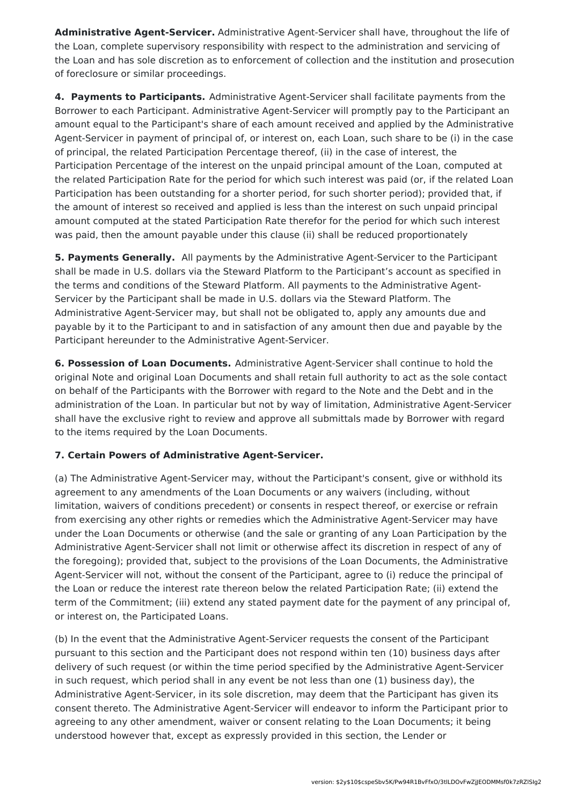**Administrative Agent-Servicer.** Administrative Agent-Servicer shall have, throughout the life of the Loan, complete supervisory responsibility with respect to the administration and servicing of the Loan and has sole discretion as to enforcement of collection and the institution and prosecution of foreclosure or similar proceedings.

**4. Payments to Participants.** Administrative Agent-Servicer shall facilitate payments from the Borrower to each Participant. Administrative Agent-Servicer will promptly pay to the Participant an amount equal to the Participant's share of each amount received and applied by the Administrative Agent-Servicer in payment of principal of, or interest on, each Loan, such share to be (i) in the case of principal, the related Participation Percentage thereof, (ii) in the case of interest, the Participation Percentage of the interest on the unpaid principal amount of the Loan, computed at the related Participation Rate for the period for which such interest was paid (or, if the related Loan Participation has been outstanding for a shorter period, for such shorter period); provided that, if the amount of interest so received and applied is less than the interest on such unpaid principal amount computed at the stated Participation Rate therefor for the period for which such interest was paid, then the amount payable under this clause (ii) shall be reduced proportionately

**5. Payments Generally.** All payments by the Administrative Agent-Servicer to the Participant shall be made in U.S. dollars via the Steward Platform to the Participant's account as specified in the terms and conditions of the Steward Platform. All payments to the Administrative Agent-Servicer by the Participant shall be made in U.S. dollars via the Steward Platform. The Administrative Agent-Servicer may, but shall not be obligated to, apply any amounts due and payable by it to the Participant to and in satisfaction of any amount then due and payable by the Participant hereunder to the Administrative Agent-Servicer.

**6. Possession of Loan Documents.** Administrative Agent-Servicer shall continue to hold the original Note and original Loan Documents and shall retain full authority to act as the sole contact on behalf of the Participants with the Borrower with regard to the Note and the Debt and in the administration of the Loan. In particular but not by way of limitation, Administrative Agent-Servicer shall have the exclusive right to review and approve all submittals made by Borrower with regard to the items required by the Loan Documents.

### **7. Certain Powers of Administrative Agent-Servicer.**

(a) The Administrative Agent-Servicer may, without the Participant's consent, give or withhold its agreement to any amendments of the Loan Documents or any waivers (including, without limitation, waivers of conditions precedent) or consents in respect thereof, or exercise or refrain from exercising any other rights or remedies which the Administrative Agent-Servicer may have under the Loan Documents or otherwise (and the sale or granting of any Loan Participation by the Administrative Agent-Servicer shall not limit or otherwise affect its discretion in respect of any of the foregoing); provided that, subject to the provisions of the Loan Documents, the Administrative Agent-Servicer will not, without the consent of the Participant, agree to (i) reduce the principal of the Loan or reduce the interest rate thereon below the related Participation Rate; (ii) extend the term of the Commitment; (iii) extend any stated payment date for the payment of any principal of, or interest on, the Participated Loans.

(b) In the event that the Administrative Agent-Servicer requests the consent of the Participant pursuant to this section and the Participant does not respond within ten (10) business days after delivery of such request (or within the time period specified by the Administrative Agent-Servicer in such request, which period shall in any event be not less than one (1) business day), the Administrative Agent-Servicer, in its sole discretion, may deem that the Participant has given its consent thereto. The Administrative Agent-Servicer will endeavor to inform the Participant prior to agreeing to any other amendment, waiver or consent relating to the Loan Documents; it being understood however that, except as expressly provided in this section, the Lender or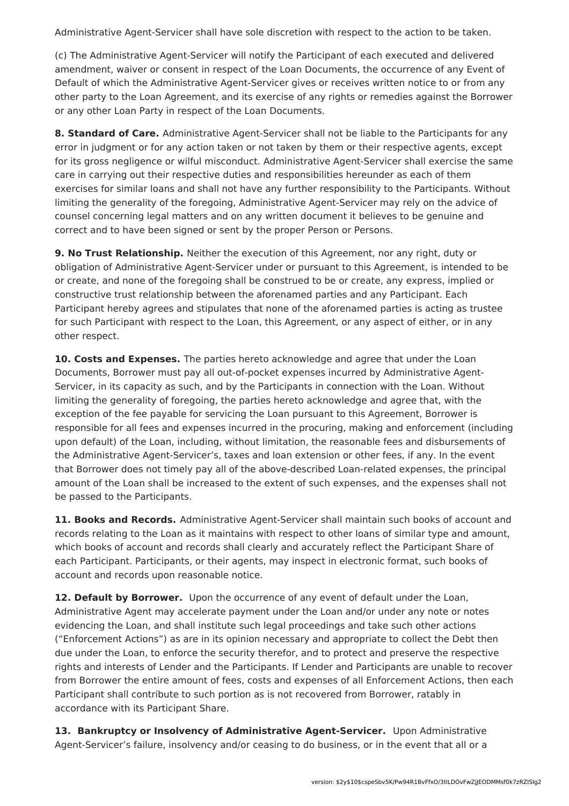Administrative Agent-Servicer shall have sole discretion with respect to the action to be taken.

(c) The Administrative Agent-Servicer will notify the Participant of each executed and delivered amendment, waiver or consent in respect of the Loan Documents, the occurrence of any Event of Default of which the Administrative Agent-Servicer gives or receives written notice to or from any other party to the Loan Agreement, and its exercise of any rights or remedies against the Borrower or any other Loan Party in respect of the Loan Documents.

**8. Standard of Care.** Administrative Agent-Servicer shall not be liable to the Participants for any error in judgment or for any action taken or not taken by them or their respective agents, except for its gross negligence or wilful misconduct. Administrative Agent-Servicer shall exercise the same care in carrying out their respective duties and responsibilities hereunder as each of them exercises for similar loans and shall not have any further responsibility to the Participants. Without limiting the generality of the foregoing, Administrative Agent-Servicer may rely on the advice of counsel concerning legal matters and on any written document it believes to be genuine and correct and to have been signed or sent by the proper Person or Persons.

**9. No Trust Relationship.** Neither the execution of this Agreement, nor any right, duty or obligation of Administrative Agent-Servicer under or pursuant to this Agreement, is intended to be or create, and none of the foregoing shall be construed to be or create, any express, implied or constructive trust relationship between the aforenamed parties and any Participant. Each Participant hereby agrees and stipulates that none of the aforenamed parties is acting as trustee for such Participant with respect to the Loan, this Agreement, or any aspect of either, or in any other respect.

**10. Costs and Expenses.** The parties hereto acknowledge and agree that under the Loan Documents, Borrower must pay all out-of-pocket expenses incurred by Administrative Agent-Servicer, in its capacity as such, and by the Participants in connection with the Loan. Without limiting the generality of foregoing, the parties hereto acknowledge and agree that, with the exception of the fee payable for servicing the Loan pursuant to this Agreement, Borrower is responsible for all fees and expenses incurred in the procuring, making and enforcement (including upon default) of the Loan, including, without limitation, the reasonable fees and disbursements of the Administrative Agent-Servicer's, taxes and loan extension or other fees, if any. In the event that Borrower does not timely pay all of the above-described Loan-related expenses, the principal amount of the Loan shall be increased to the extent of such expenses, and the expenses shall not be passed to the Participants.

**11. Books and Records.** Administrative Agent-Servicer shall maintain such books of account and records relating to the Loan as it maintains with respect to other loans of similar type and amount, which books of account and records shall clearly and accurately reflect the Participant Share of each Participant. Participants, or their agents, may inspect in electronic format, such books of account and records upon reasonable notice.

**12. Default by Borrower.** Upon the occurrence of any event of default under the Loan, Administrative Agent may accelerate payment under the Loan and/or under any note or notes evidencing the Loan, and shall institute such legal proceedings and take such other actions ("Enforcement Actions") as are in its opinion necessary and appropriate to collect the Debt then due under the Loan, to enforce the security therefor, and to protect and preserve the respective rights and interests of Lender and the Participants. If Lender and Participants are unable to recover from Borrower the entire amount of fees, costs and expenses of all Enforcement Actions, then each Participant shall contribute to such portion as is not recovered from Borrower, ratably in accordance with its Participant Share.

**13. Bankruptcy or Insolvency of Administrative Agent-Servicer.** Upon Administrative Agent-Servicer's failure, insolvency and/or ceasing to do business, or in the event that all or a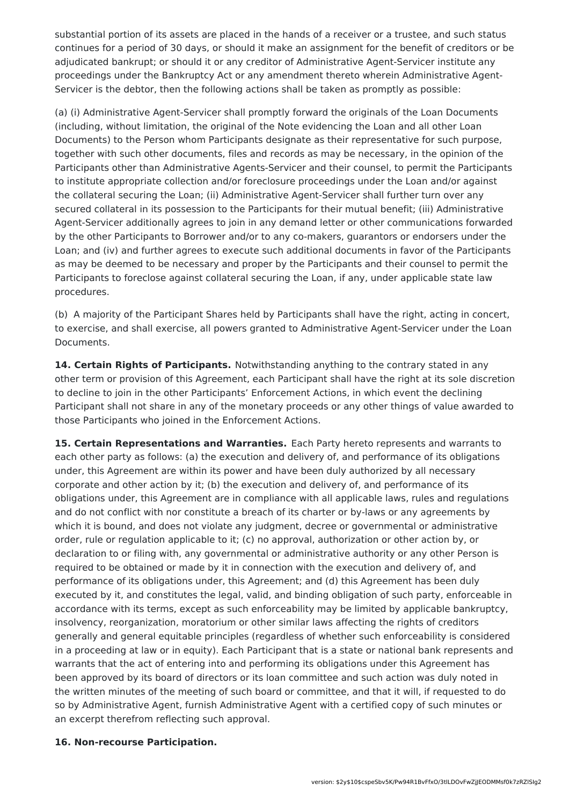substantial portion of its assets are placed in the hands of a receiver or a trustee, and such status continues for a period of 30 days, or should it make an assignment for the benefit of creditors or be adjudicated bankrupt; or should it or any creditor of Administrative Agent-Servicer institute any proceedings under the Bankruptcy Act or any amendment thereto wherein Administrative Agent-Servicer is the debtor, then the following actions shall be taken as promptly as possible:

(a) (i) Administrative Agent-Servicer shall promptly forward the originals of the Loan Documents (including, without limitation, the original of the Note evidencing the Loan and all other Loan Documents) to the Person whom Participants designate as their representative for such purpose, together with such other documents, files and records as may be necessary, in the opinion of the Participants other than Administrative Agents-Servicer and their counsel, to permit the Participants to institute appropriate collection and/or foreclosure proceedings under the Loan and/or against the collateral securing the Loan; (ii) Administrative Agent-Servicer shall further turn over any secured collateral in its possession to the Participants for their mutual benefit; (iii) Administrative Agent-Servicer additionally agrees to join in any demand letter or other communications forwarded by the other Participants to Borrower and/or to any co-makers, guarantors or endorsers under the Loan; and (iv) and further agrees to execute such additional documents in favor of the Participants as may be deemed to be necessary and proper by the Participants and their counsel to permit the Participants to foreclose against collateral securing the Loan, if any, under applicable state law procedures.

(b) A majority of the Participant Shares held by Participants shall have the right, acting in concert, to exercise, and shall exercise, all powers granted to Administrative Agent-Servicer under the Loan Documents.

**14. Certain Rights of Participants.** Notwithstanding anything to the contrary stated in any other term or provision of this Agreement, each Participant shall have the right at its sole discretion to decline to join in the other Participants' Enforcement Actions, in which event the declining Participant shall not share in any of the monetary proceeds or any other things of value awarded to those Participants who joined in the Enforcement Actions.

**15. Certain Representations and Warranties.** Each Party hereto represents and warrants to each other party as follows: (a) the execution and delivery of, and performance of its obligations under, this Agreement are within its power and have been duly authorized by all necessary corporate and other action by it; (b) the execution and delivery of, and performance of its obligations under, this Agreement are in compliance with all applicable laws, rules and regulations and do not conflict with nor constitute a breach of its charter or by-laws or any agreements by which it is bound, and does not violate any judgment, decree or governmental or administrative order, rule or regulation applicable to it; (c) no approval, authorization or other action by, or declaration to or filing with, any governmental or administrative authority or any other Person is required to be obtained or made by it in connection with the execution and delivery of, and performance of its obligations under, this Agreement; and (d) this Agreement has been duly executed by it, and constitutes the legal, valid, and binding obligation of such party, enforceable in accordance with its terms, except as such enforceability may be limited by applicable bankruptcy, insolvency, reorganization, moratorium or other similar laws affecting the rights of creditors generally and general equitable principles (regardless of whether such enforceability is considered in a proceeding at law or in equity). Each Participant that is a state or national bank represents and warrants that the act of entering into and performing its obligations under this Agreement has been approved by its board of directors or its loan committee and such action was duly noted in the written minutes of the meeting of such board or committee, and that it will, if requested to do so by Administrative Agent, furnish Administrative Agent with a certified copy of such minutes or an excerpt therefrom reflecting such approval.

#### **16. Non-recourse Participation.**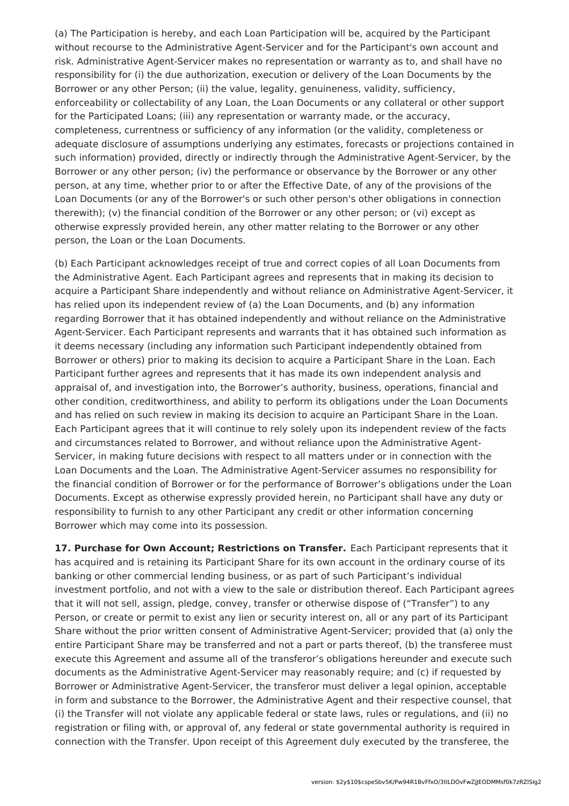(a) The Participation is hereby, and each Loan Participation will be, acquired by the Participant without recourse to the Administrative Agent-Servicer and for the Participant's own account and risk. Administrative Agent-Servicer makes no representation or warranty as to, and shall have no responsibility for (i) the due authorization, execution or delivery of the Loan Documents by the Borrower or any other Person; (ii) the value, legality, genuineness, validity, sufficiency, enforceability or collectability of any Loan, the Loan Documents or any collateral or other support for the Participated Loans; (iii) any representation or warranty made, or the accuracy, completeness, currentness or sufficiency of any information (or the validity, completeness or adequate disclosure of assumptions underlying any estimates, forecasts or projections contained in such information) provided, directly or indirectly through the Administrative Agent-Servicer, by the Borrower or any other person; (iv) the performance or observance by the Borrower or any other person, at any time, whether prior to or after the Effective Date, of any of the provisions of the Loan Documents (or any of the Borrower's or such other person's other obligations in connection therewith); (v) the financial condition of the Borrower or any other person; or (vi) except as otherwise expressly provided herein, any other matter relating to the Borrower or any other person, the Loan or the Loan Documents.

(b) Each Participant acknowledges receipt of true and correct copies of all Loan Documents from the Administrative Agent. Each Participant agrees and represents that in making its decision to acquire a Participant Share independently and without reliance on Administrative Agent-Servicer, it has relied upon its independent review of (a) the Loan Documents, and (b) any information regarding Borrower that it has obtained independently and without reliance on the Administrative Agent-Servicer. Each Participant represents and warrants that it has obtained such information as it deems necessary (including any information such Participant independently obtained from Borrower or others) prior to making its decision to acquire a Participant Share in the Loan. Each Participant further agrees and represents that it has made its own independent analysis and appraisal of, and investigation into, the Borrower's authority, business, operations, financial and other condition, creditworthiness, and ability to perform its obligations under the Loan Documents and has relied on such review in making its decision to acquire an Participant Share in the Loan. Each Participant agrees that it will continue to rely solely upon its independent review of the facts and circumstances related to Borrower, and without reliance upon the Administrative Agent-Servicer, in making future decisions with respect to all matters under or in connection with the Loan Documents and the Loan. The Administrative Agent-Servicer assumes no responsibility for the financial condition of Borrower or for the performance of Borrower's obligations under the Loan Documents. Except as otherwise expressly provided herein, no Participant shall have any duty or responsibility to furnish to any other Participant any credit or other information concerning Borrower which may come into its possession.

**17. Purchase for Own Account; Restrictions on Transfer.** Each Participant represents that it has acquired and is retaining its Participant Share for its own account in the ordinary course of its banking or other commercial lending business, or as part of such Participant's individual investment portfolio, and not with a view to the sale or distribution thereof. Each Participant agrees that it will not sell, assign, pledge, convey, transfer or otherwise dispose of ("Transfer") to any Person, or create or permit to exist any lien or security interest on, all or any part of its Participant Share without the prior written consent of Administrative Agent-Servicer; provided that (a) only the entire Participant Share may be transferred and not a part or parts thereof, (b) the transferee must execute this Agreement and assume all of the transferor's obligations hereunder and execute such documents as the Administrative Agent-Servicer may reasonably require; and (c) if requested by Borrower or Administrative Agent-Servicer, the transferor must deliver a legal opinion, acceptable in form and substance to the Borrower, the Administrative Agent and their respective counsel, that (i) the Transfer will not violate any applicable federal or state laws, rules or regulations, and (ii) no registration or filing with, or approval of, any federal or state governmental authority is required in connection with the Transfer. Upon receipt of this Agreement duly executed by the transferee, the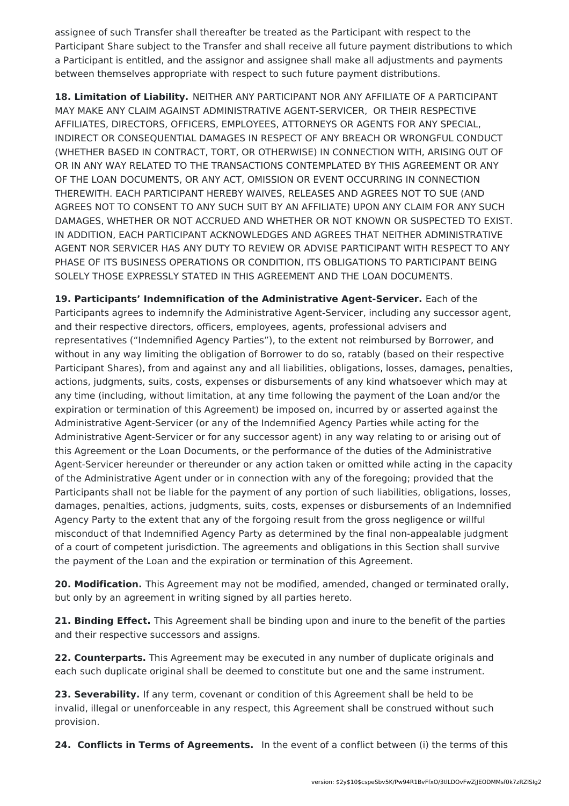assignee of such Transfer shall thereafter be treated as the Participant with respect to the Participant Share subject to the Transfer and shall receive all future payment distributions to which a Participant is entitled, and the assignor and assignee shall make all adjustments and payments between themselves appropriate with respect to such future payment distributions.

**18. Limitation of Liability.** NEITHER ANY PARTICIPANT NOR ANY AFFILIATE OF A PARTICIPANT MAY MAKE ANY CLAIM AGAINST ADMINISTRATIVE AGENT-SERVICER, OR THEIR RESPECTIVE AFFILIATES, DIRECTORS, OFFICERS, EMPLOYEES, ATTORNEYS OR AGENTS FOR ANY SPECIAL, INDIRECT OR CONSEQUENTIAL DAMAGES IN RESPECT OF ANY BREACH OR WRONGFUL CONDUCT (WHETHER BASED IN CONTRACT, TORT, OR OTHERWISE) IN CONNECTION WITH, ARISING OUT OF OR IN ANY WAY RELATED TO THE TRANSACTIONS CONTEMPLATED BY THIS AGREEMENT OR ANY OF THE LOAN DOCUMENTS, OR ANY ACT, OMISSION OR EVENT OCCURRING IN CONNECTION THEREWITH. EACH PARTICIPANT HEREBY WAIVES, RELEASES AND AGREES NOT TO SUE (AND AGREES NOT TO CONSENT TO ANY SUCH SUIT BY AN AFFILIATE) UPON ANY CLAIM FOR ANY SUCH DAMAGES, WHETHER OR NOT ACCRUED AND WHETHER OR NOT KNOWN OR SUSPECTED TO EXIST. IN ADDITION, EACH PARTICIPANT ACKNOWLEDGES AND AGREES THAT NEITHER ADMINISTRATIVE AGENT NOR SERVICER HAS ANY DUTY TO REVIEW OR ADVISE PARTICIPANT WITH RESPECT TO ANY PHASE OF ITS BUSINESS OPERATIONS OR CONDITION, ITS OBLIGATIONS TO PARTICIPANT BEING SOLELY THOSE EXPRESSLY STATED IN THIS AGREEMENT AND THE LOAN DOCUMENTS.

**19. Participants' Indemnification of the Administrative Agent-Servicer.** Each of the Participants agrees to indemnify the Administrative Agent-Servicer, including any successor agent, and their respective directors, officers, employees, agents, professional advisers and representatives ("Indemnified Agency Parties"), to the extent not reimbursed by Borrower, and without in any way limiting the obligation of Borrower to do so, ratably (based on their respective Participant Shares), from and against any and all liabilities, obligations, losses, damages, penalties, actions, judgments, suits, costs, expenses or disbursements of any kind whatsoever which may at any time (including, without limitation, at any time following the payment of the Loan and/or the expiration or termination of this Agreement) be imposed on, incurred by or asserted against the Administrative Agent-Servicer (or any of the Indemnified Agency Parties while acting for the Administrative Agent-Servicer or for any successor agent) in any way relating to or arising out of this Agreement or the Loan Documents, or the performance of the duties of the Administrative Agent-Servicer hereunder or thereunder or any action taken or omitted while acting in the capacity of the Administrative Agent under or in connection with any of the foregoing; provided that the Participants shall not be liable for the payment of any portion of such liabilities, obligations, losses, damages, penalties, actions, judgments, suits, costs, expenses or disbursements of an Indemnified Agency Party to the extent that any of the forgoing result from the gross negligence or willful misconduct of that Indemnified Agency Party as determined by the final non-appealable judgment of a court of competent jurisdiction. The agreements and obligations in this Section shall survive the payment of the Loan and the expiration or termination of this Agreement.

**20. Modification.** This Agreement may not be modified, amended, changed or terminated orally, but only by an agreement in writing signed by all parties hereto.

**21. Binding Effect.** This Agreement shall be binding upon and inure to the benefit of the parties and their respective successors and assigns.

**22. Counterparts.** This Agreement may be executed in any number of duplicate originals and each such duplicate original shall be deemed to constitute but one and the same instrument.

**23. Severability.** If any term, covenant or condition of this Agreement shall be held to be invalid, illegal or unenforceable in any respect, this Agreement shall be construed without such provision.

**24. Conflicts in Terms of Agreements.** In the event of a conflict between (i) the terms of this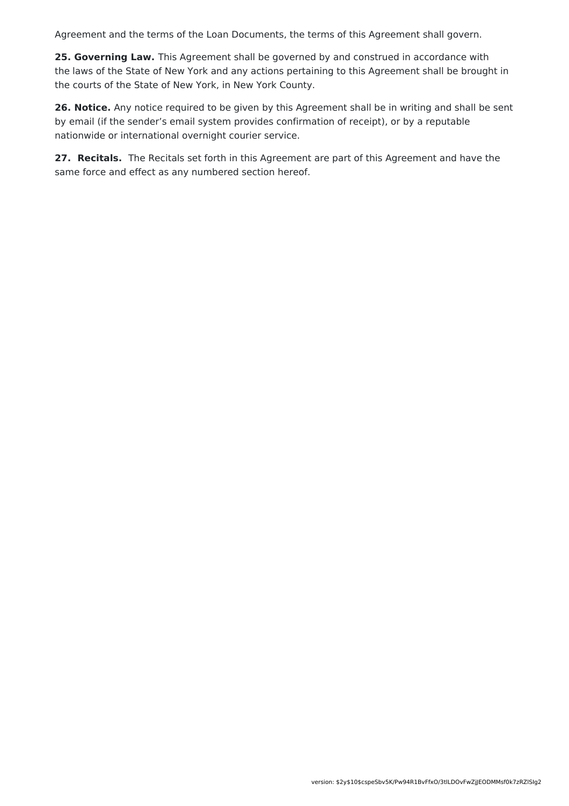Agreement and the terms of the Loan Documents, the terms of this Agreement shall govern.

**25. Governing Law.** This Agreement shall be governed by and construed in accordance with the laws of the State of New York and any actions pertaining to this Agreement shall be brought in the courts of the State of New York, in New York County.

**26. Notice.** Any notice required to be given by this Agreement shall be in writing and shall be sent by email (if the sender's email system provides confirmation of receipt), or by a reputable nationwide or international overnight courier service.

**27. Recitals.** The Recitals set forth in this Agreement are part of this Agreement and have the same force and effect as any numbered section hereof.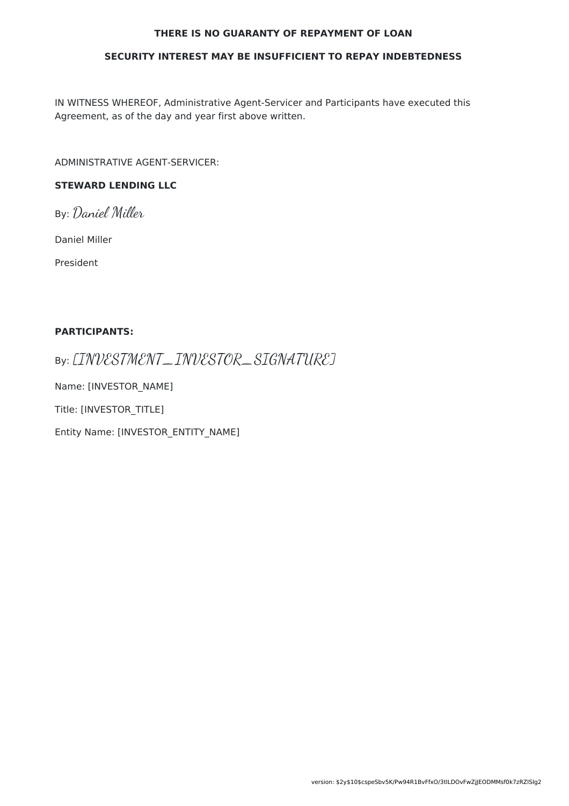#### **THERE IS NO GUARANTY OF REPAYMENT OF LOAN**

#### **SECURITY INTEREST MAY BE INSUFFICIENT TO REPAY INDEBTEDNESS**

IN WITNESS WHEREOF, Administrative Agent-Servicer and Participants have executed this Agreement, as of the day and year first above written.

ADMINISTRATIVE AGENT-SERVICER:

### **STEWARD LENDING LLC**

By: Daniel Miller

Daniel Miller

President

#### **PARTICIPANTS:**

By: [INVESTMENT\_INVESTOR\_SIGNATURE]

Name: [INVESTOR\_NAME]

Title: [INVESTOR\_TITLE]

Entity Name: [INVESTOR\_ENTITY\_NAME]